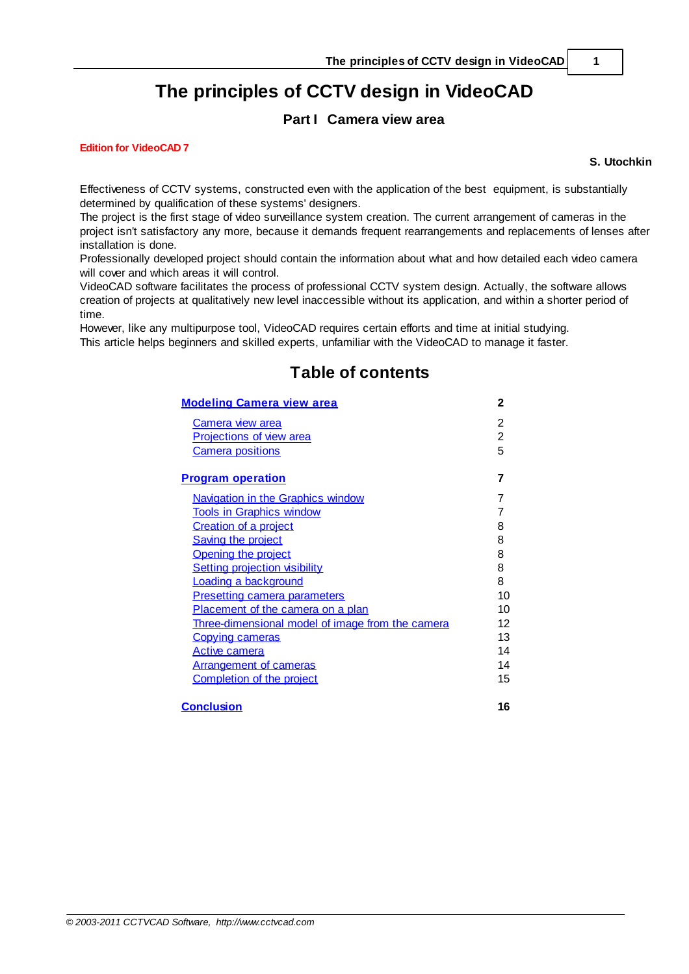# **The principles of CCTV design in VideoCAD**

## **Part I Camera view area**

**Edition for VideoCAD 7**

**S. Utochkin**

Effectiveness of CCTV systems, constructed even with the application of the best equipment, is substantially determined by qualification of these systems' designers.

The project is the first stage of video surveillance system creation. The current arrangement of cameras in the project isn't satisfactory any more, because it demands frequent rearrangements and replacements of lenses after installation is done.

Professionally developed project should contain the information about what and how detailed each video camera will cover and which areas it will control.

VideoCAD software facilitates the process of professional CCTV system design. Actually, the software allows creation of projects at qualitatively new level inaccessible without its application, and within a shorter period of time.

However, like any multipurpose tool, VideoCAD requires certain efforts and time at initial studying. This article helps beginners and skilled experts, unfamiliar with the VideoCAD to manage it faster.

# **Table of contents**

| <b>Modeling Camera view area</b>                 |                |
|--------------------------------------------------|----------------|
| Camera view area                                 | 2              |
| <b>Projections of view area</b>                  | $\overline{2}$ |
| <b>Camera positions</b>                          | 5              |
| <b>Program operation</b>                         | 7              |
| <b>Navigation in the Graphics window</b>         | 7              |
| <b>Tools in Graphics window</b>                  | 7              |
| <b>Creation of a project</b>                     | 8              |
| <b>Saving the project</b>                        | 8              |
| Opening the project                              | 8              |
| <b>Setting projection visibility</b>             | 8              |
| <b>Loading a background</b>                      | 8              |
| <b>Presetting camera parameters</b>              | 10             |
| Placement of the camera on a plan                | 10             |
| Three-dimensional model of image from the camera | 12             |
| <b>Copying cameras</b>                           | 13             |
| <u>Active camera</u>                             | 14             |
| <b>Arrangement of cameras</b>                    | 14             |
| <b>Completion of the project</b>                 | 15             |
| <b>Conclusion</b>                                | 16             |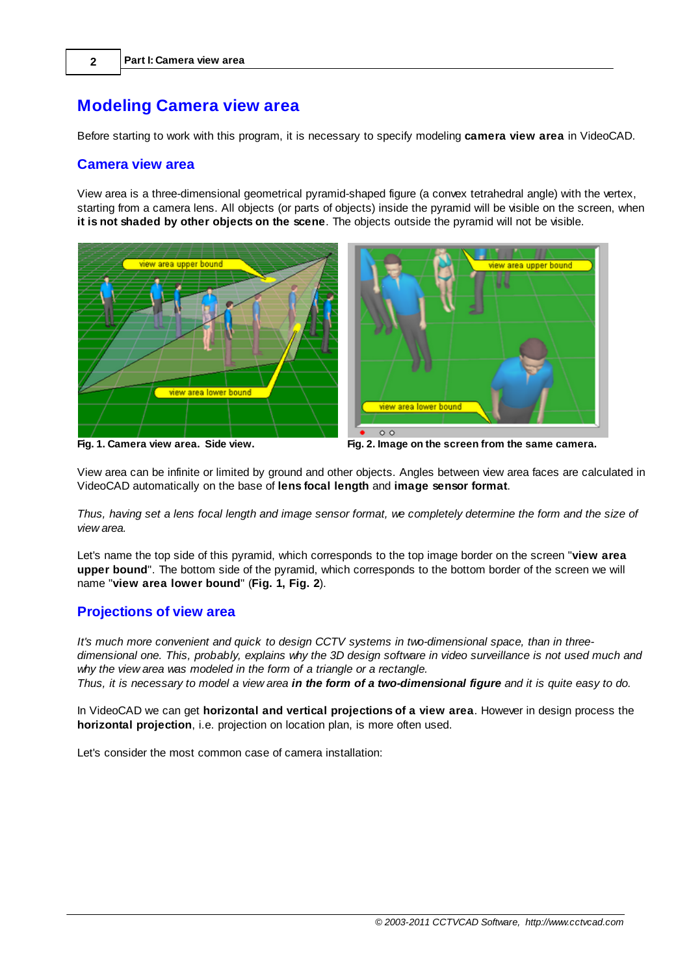# <span id="page-1-0"></span>**Modeling Camera view area**

Before starting to work with this program, it is necessary to specify modeling **camera view area** in VideoCAD.

### <span id="page-1-1"></span>**Camera view area**

View area is a three-dimensional geometrical pyramid-shaped figure (a convex tetrahedral angle) with the vertex, starting from a camera lens. All objects (or parts of objects) inside the pyramid will be visible on the screen, when **it is not shaded by other objects on the scene**. The objects outside the pyramid will not be visible.



**Fig. 1. Camera view area. Side view. Fig. 2. Image on the screen from the same camera.**

View area can be infinite or limited by ground and other objects. Angles between view area faces are calculated in VideoCAD automatically on the base of **lens focal length** and **image sensor format**.

Thus, having set a lens focal length and image sensor format, we completely determine the form and the size of *view area.*

Let's name the top side of this pyramid, which corresponds to the top image border on the screen "**view area upper bound**". The bottom side of the pyramid, which corresponds to the bottom border of the screen we will name "**view area lower bound**" (**Fig. 1, Fig. 2**).

## <span id="page-1-2"></span>**Projections of view area**

*It's much more convenient and quick to design CCTV systems in two-dimensional space, than in three*dimensional one. This, probably, explains why the 3D design software in video surveillance is not used much and *why the view area was modeled in the form of a triangle or a rectangle.*

Thus, it is necessary to model a view area in the form of a two-dimensional figure and it is quite easy to do.

In VideoCAD we can get **horizontal and vertical projections of a view area**. However in design process the **horizontal projection**, i.e. projection on location plan, is more often used.

Let's consider the most common case of camera installation: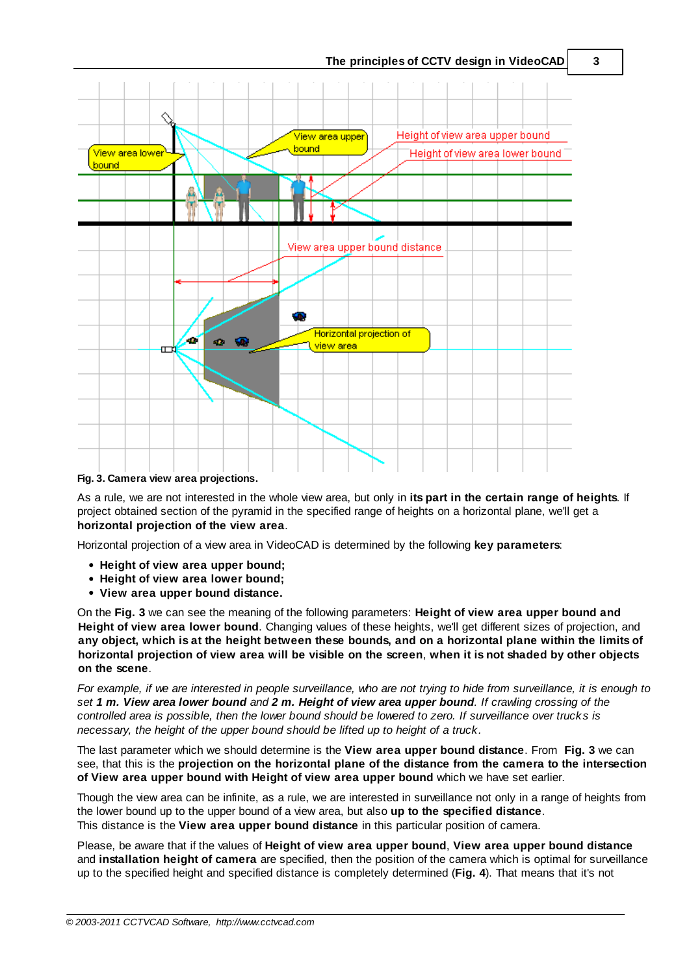

**Fig. 3. Camera view area projections.**

As a rule, we are not interested in the whole view area, but only in **its part in the certain range of heights**. If project obtained section of the pyramid in the specified range of heights on a horizontal plane, we'll get a **horizontal projection of the view area**.

Horizontal projection of a view area in VideoCAD is determined by the following **key parameters**:

- **Height of view area upper bound;**
- **Height of view area lower bound;**
- **View area upper bound distance.**

On the **Fig. 3** we can see the meaning of the following parameters: **Height of view area upper bound and Height of view area lower bound**. Changing values of these heights, we'll get different sizes of projection, and any object, which is at the height between these bounds, and on a horizontal plane within the limits of horizontal projection of view area will be visible on the screen, when it is not shaded by other objects **on the scene**.

For example, if we are interested in people surveillance, who are not trying to hide from surveillance, it is enough to set 1 m. View area lower bound and 2 m. Height of view area upper bound. If crawling crossing of the controlled area is possible, then the lower bound should be lowered to zero. If surveillance over trucks is *necessary, the height of the upper bound should be lifted up to height of a truck.*

The last parameter which we should determine is the **View area upper bound distance**. From **Fig. 3** we can see, that this is the **projection on the horizontal plane of the distance from the camera to the intersection of View area upper bound with Height of view area upper bound** which we have set earlier.

Though the view area can be infinite, as a rule, we are interested in surveillance not only in a range of heights from the lower bound up to the upper bound of a view area, but also **up to the specified distance**. This distance is the **View area upper bound distance** in this particular position of camera.

Please, be aware that if the values of **Height of view area upper bound**, **View area upper bound distance** and **installation height of camera** are specified, then the position of the camera which is optimal for surveillance up to the specified height and specified distance is completely determined (**Fig. 4**). That means that it's not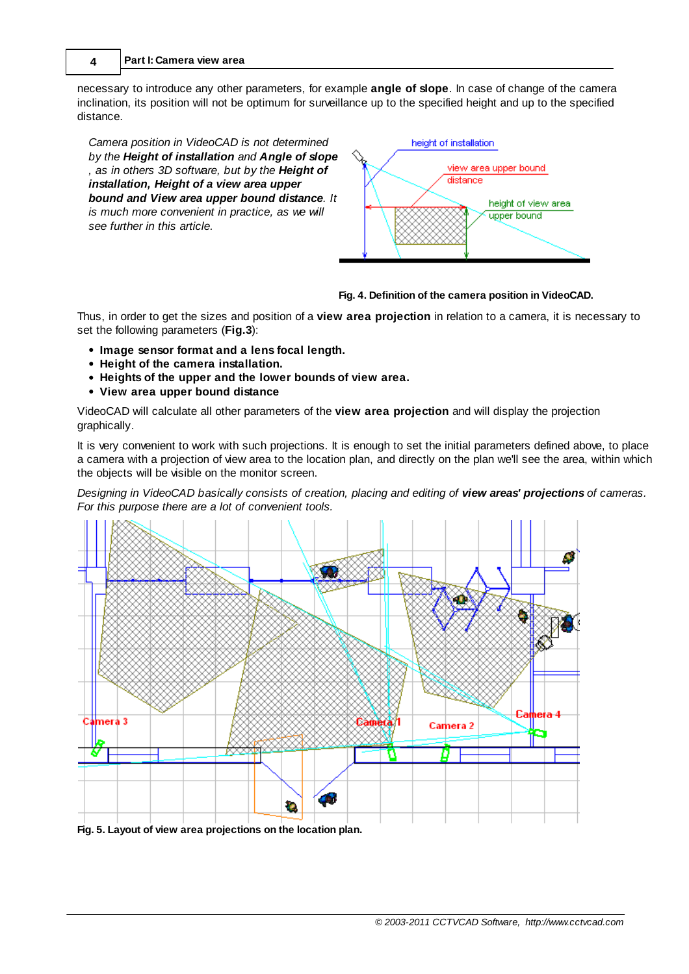necessary to introduce any other parameters, for example **angle of slope**. In case of change of the camera inclination, its position will not be optimum for surveillance up to the specified height and up to the specified distance.

*Camera position in VideoCAD is not determined by the Height of installation and Angle of slope , as in others 3D software, but by the Height of installation, Height of a view area upper bound and View area upper bound distance. It is much more convenient in practice, as we will see further in this article.*



#### **Fig. 4. Definition of the camera position in VideoCAD.**

Thus, in order to get the sizes and position of a **view area projection** in relation to a camera, it is necessary to set the following parameters (**Fig.3**):

- **Image sensor format and a lens focal length.**
- **Height of the camera installation.**
- **Heights of the upper and the lower bounds of view area.**
- **View area upper bound distance**

VideoCAD will calculate all other parameters of the **view area projection** and will display the projection graphically.

It is very convenient to work with such projections. It is enough to set the initial parameters defined above, to place a camera with a projection of view area to the location plan, and directly on the plan we'll see the area, within which the objects will be visible on the monitor screen.

*Designing in VideoCAD basically consists of creation, placing and editing of view areas' projections of cameras. For this purpose there are a lot of convenient tools.*

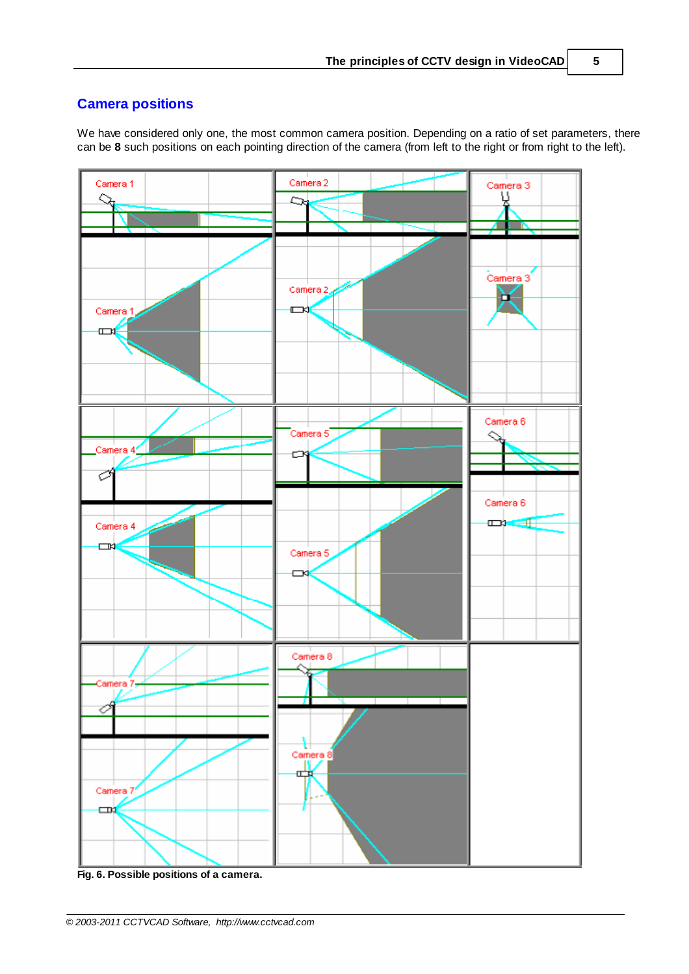# <span id="page-4-0"></span>**Camera positions**

We have considered only one, the most common camera position. Depending on a ratio of set parameters, there can be **8** such positions on each pointing direction of the camera (from left to the right or from right to the left).

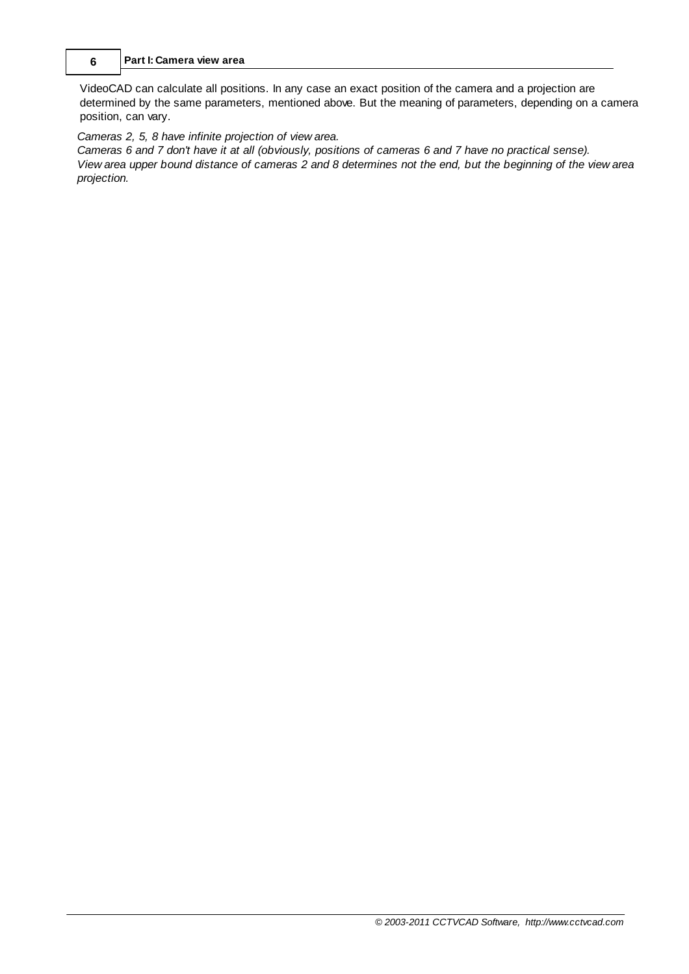### **6 Part I: Camera view area**

VideoCAD can calculate all positions. In any case an exact position of the camera and a projection are determined by the same parameters, mentioned above. But the meaning of parameters, depending on a camera position, can vary.

### *Cameras 2, 5, 8 have infinite projection of view area.*

Cameras 6 and 7 don't have it at all (obviously, positions of cameras 6 and 7 have no practical sense). View area upper bound distance of cameras 2 and 8 determines not the end, but the beginning of the view area *projection.*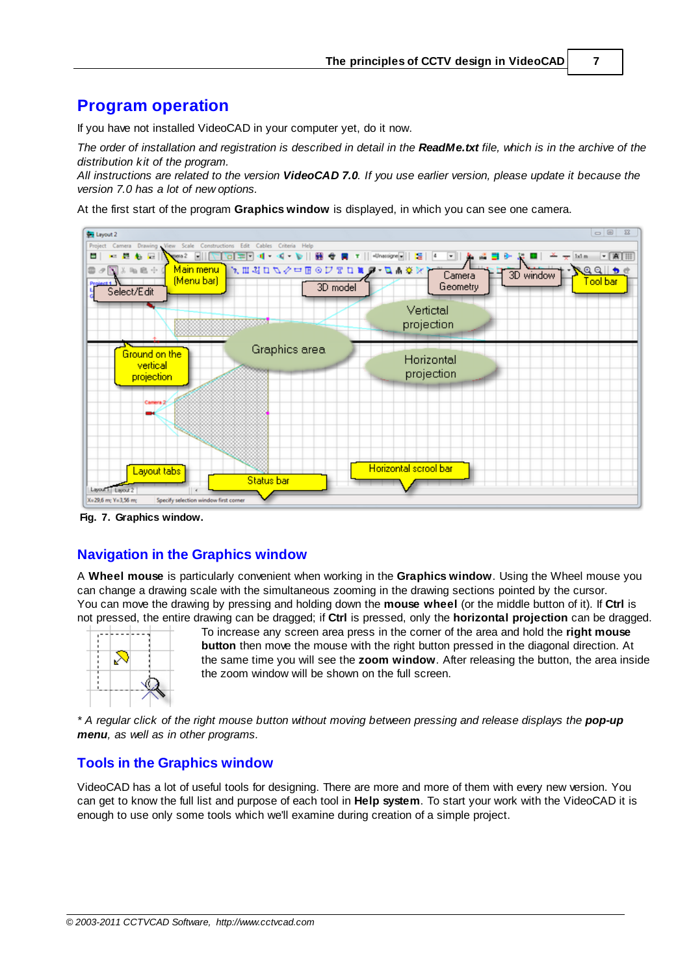# <span id="page-6-0"></span>**Program operation**

If you have not installed VideoCAD in your computer yet, do it now.

The order of installation and registration is described in detail in the ReadMe.txt file, which is in the archive of the *distribution kit of the program.*

All instructions are related to the version VideoCAD 7.0. If you use earlier version, please update it because the *version 7.0 has a lot of new options.*

At the first start of the program **Graphics window** is displayed, in which you can see one camera.



**Fig. 7. Graphics window.**

## <span id="page-6-1"></span>**Navigation in the Graphics window**

A **Wheel mouse** is particularly convenient when working in the **Graphics window**. Using the Wheel mouse you can change a drawing scale with the simultaneous zooming in the drawing sections pointed by the cursor. You can move the drawing by pressing and holding down the **mouse wheel** (or the middle button of it). If **Ctrl** is not pressed, the entire drawing can be dragged; if **Ctrl** is pressed, only the **horizontal projection** can be dragged.



To increase any screen area press in the corner of the area and hold the **right mouse button** then move the mouse with the right button pressed in the diagonal direction. At the same time you will see the **zoom window**. After releasing the button, the area inside the zoom window will be shown on the full screen.

\* A regular click of the right mouse button without moving between pressing and release displays the **pop-up** *menu, as well as in other programs.*

## <span id="page-6-2"></span>**Tools in the Graphics window**

VideoCAD has a lot of useful tools for designing. There are more and more of them with every new version. You can get to know the full list and purpose of each tool in **Help system**. To start your work with the VideoCAD it is enough to use only some tools which we'll examine during creation of a simple project.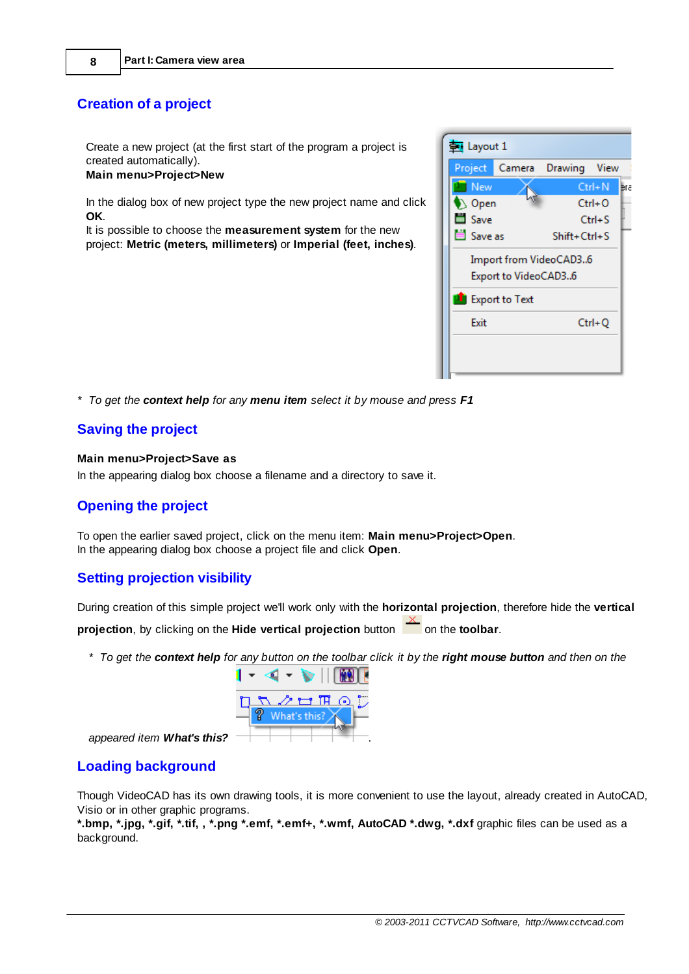## <span id="page-7-0"></span>**Creation of a project**

Create a new project (at the first start of the program a project is created automatically). **Main menu>Project>New**

In the dialog box of new project type the new project name and click **OK**.

It is possible to choose the **measurement system** for the new project: **Metric (meters, millimeters)** or **Imperial (feet, inches)**.



## <span id="page-7-1"></span>**Saving the project**

#### **Main menu>Project>Save as**

In the appearing dialog box choose a filename and a directory to save it.

## <span id="page-7-2"></span>**Opening the project**

To open the earlier saved project, click on the menu item: **Main menu>Project>Open**. In the appearing dialog box choose a project file and click **Open**.

## <span id="page-7-3"></span>**Setting projection visibility**

During creation of this simple project we'll work only with the **horizontal projection**, therefore hide the **vertical projection**, by clicking on the **Hide vertical projection** button **on** the **toolbar**.

\* To get the context help for any button on the toolbar click it by the right mouse button and then on the



*appeared item What's this?* .

## <span id="page-7-4"></span>**Loading background**

Though VideoCAD has its own drawing tools, it is more convenient to use the layout, already created in AutoCAD, Visio or in other graphic programs.

**\*.bmp, \*.jpg, \*.gif, \*.tif, , \*.png \*.emf, \*.emf+, \*.wmf, AutoCAD \*.dwg, \*.dxf** graphic files can be used as a background.

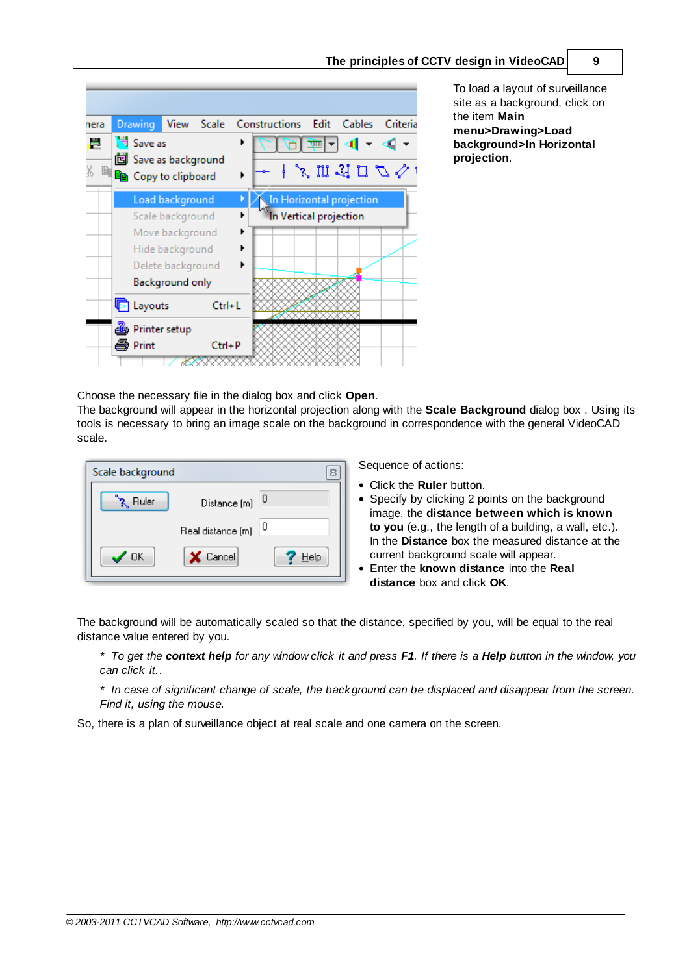| nera                                         | Drawing<br>View<br><b>Scale</b> | Constructions<br>Edit<br><b>Cables</b><br>Criteria |
|----------------------------------------------|---------------------------------|----------------------------------------------------|
| ē                                            | Save as                         | ⇆⇂                                                 |
|                                              | <b>id</b> Save as background    |                                                    |
| y<br>10<br><sup>剛</sup> la Copy to clipboard |                                 | 、 加 习 口 り ぐ !                                      |
|                                              | Load background                 | In Horizontal projection                           |
|                                              | Scale background                | In Vertical projection                             |
|                                              | Move background                 |                                                    |
|                                              | ▶<br>Hide background            |                                                    |
|                                              | Delete background               |                                                    |
|                                              | Background only                 |                                                    |
|                                              | <b>图 Layouts</b><br>Ctrl+L      |                                                    |
|                                              | Printer setup                   |                                                    |
|                                              | <i>▲</i> Print<br>$Ctrl + P$    |                                                    |
|                                              |                                 |                                                    |

To load a layout of surveillance site as a background, click on the item **Main menu>Drawing>Load background>In Horizontal projection**.

Choose the necessary file in the dialog box and click **Open**.

The background will appear in the horizontal projection along with the **Scale Background** dialog box . Using its tools is necessary to bring an image scale on the background in correspondence with the general VideoCAD scale.

| ? Ruler | Distance (m)            |
|---------|-------------------------|
|         |                         |
|         | -0<br>Real distance (m) |
| OK      | X Cancel<br>Help        |

Sequence of actions:

- Click the **Ruler** button.
- Specify by clicking 2 points on the background image, the **distance between which is known to you** (e.g., the length of a building, a wall, etc.). In the **Distance** box the measured distance at the current background scale will appear.
- Enter the **known distance** into the **Real distance** box and click **OK**.

The background will be automatically scaled so that the distance, specified by you, will be equal to the real distance value entered by you.

\* To get the context help for any window click it and press F1. If there is a Help button in the window, you *can click it.*.

\* In case of significant change of scale, the background can be displaced and disappear from the screen. *Find it, using the mouse.*

So, there is a plan of surveillance object at real scale and one camera on the screen.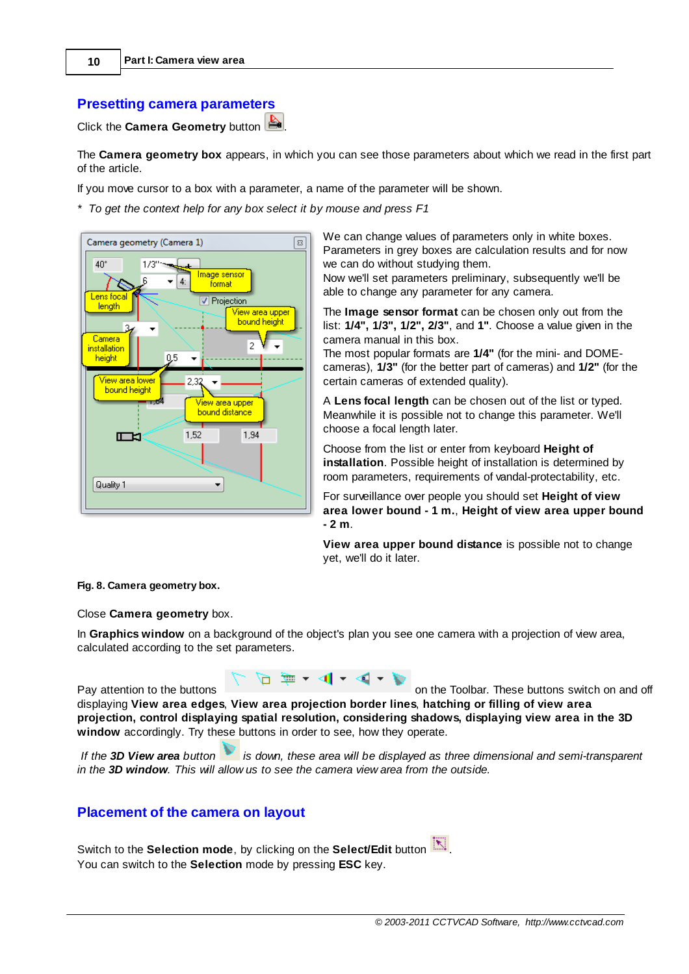### <span id="page-9-0"></span>**Presetting camera parameters**

Click the **Camera Geometry** button .

The **Camera geometry box** appears, in which you can see those parameters about which we read in the first part of the article.

If you move cursor to a box with a parameter, a name of the parameter will be shown.

*\* To get the context help for any box select it by mouse and press F1*



We can change values of parameters only in white boxes. Parameters in grey boxes are calculation results and for now we can do without studying them.

Now we'll set parameters preliminary, subsequently we'll be able to change any parameter for any camera.

The **Image sensor format** can be chosen only out from the list: **1/4", 1/3", 1/2", 2/3"**, and **1"**. Choose a value given in the camera manual in this box.

The most popular formats are **1/4"** (for the mini- and DOMEcameras), **1/3"** (for the better part of cameras) and **1/2"** (for the certain cameras of extended quality).

A **Lens focal length** can be chosen out of the list or typed. Meanwhile it is possible not to change this parameter. We'll choose a focal length later.

Choose from the list or enter from keyboard **Height of installation**. Possible height of installation is determined by room parameters, requirements of vandal-protectability, etc.

For surveillance over people you should set **Height of view area lower bound - 1 m.**, **Height of view area upper bound - 2 m**.

**View area upper bound distance** is possible not to change yet, we'll do it later.

#### **Fig. 8. Camera geometry box.**

Close **Camera geometry** box.

In **Graphics window** on a background of the object's plan you see one camera with a projection of view area, calculated according to the set parameters.

Pay attention to the buttons of the Toolbar. These buttons switch on and off



displaying **View area edges**, **View area projection border lines**, **hatching or filling of view area projection, control displaying spatial resolution, considering shadows, displaying view area in the 3D window** accordingly. Try these buttons in order to see, how they operate.

If the 3D View area button  $\blacksquare$  is down, these area will be displayed as three dimensional and semi-transparent *in the 3D window. This will allow us to see the camera view area from the outside.*

#### <span id="page-9-1"></span>**Placement of the camera on layout**

Switch to the **Selection mode**, by clicking on the **Select/Edit** button  $\boxed{\mathbb{N}}$ . You can switch to the **Selection** mode by pressing **ESC** key.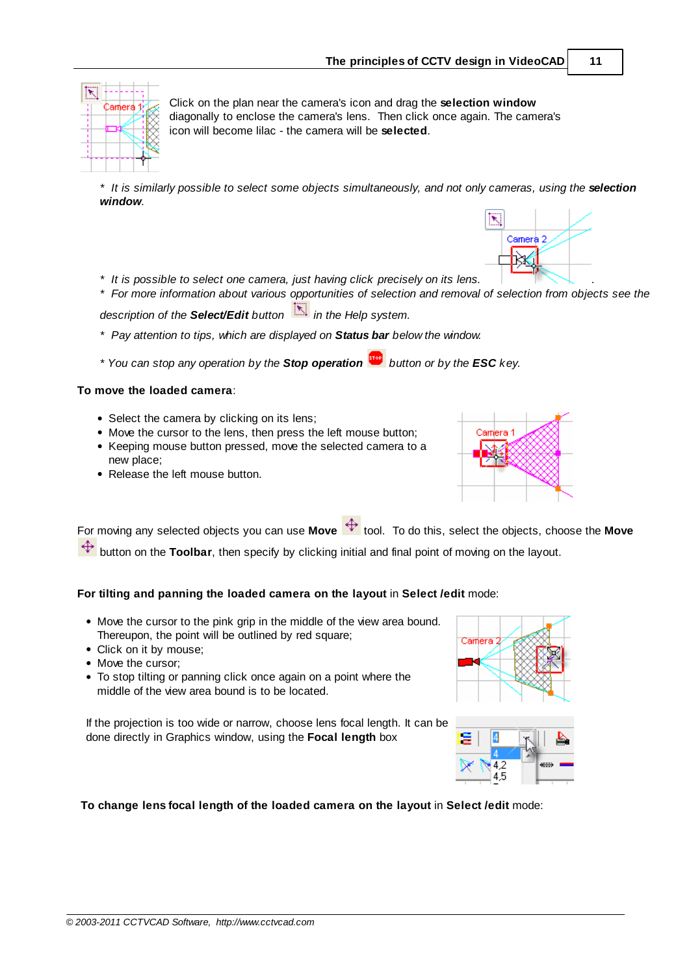

Click on the plan near the camera's icon and drag the **selection window** diagonally to enclose the camera's lens. Then click once again. The camera's icon will become lilac - the camera will be **selected**.

\* It is similarly possible to select some objects simultaneously, and not only cameras, using the selection *window.*

- *\* It is possible to select one camera, just having click precisely on its lens.* .
- \* For more information about various opportunities of selection and removal of selection from objects see the

*description of the Select/Edit button in the Help system.*

- *\* Pay attention to tips, which are displayed on Status bar below the window.*
- *\* You can stop any operation by the Stop operation button or by the ESC key.*

#### **To move the loaded camera**:

- Select the camera by clicking on its lens;
- Move the cursor to the lens, then press the left mouse button;
- Keeping mouse button pressed, move the selected camera to a new place;
- Release the left mouse button.



R

Camera 2

For moving any selected objects you can use **Move**  $\overrightarrow{f}$  tool. To do this, select the objects, choose the **Move** button on the **Toolbar**, then specify by clicking initial and final point of moving on the layout.

**For tilting and panning the loaded camera on the layout** in **Select /edit** mode:

- Move the cursor to the pink grip in the middle of the view area bound. Thereupon, the point will be outlined by red square;
- Click on it by mouse;
- Move the cursor;
- To stop tilting or panning click once again on a point where the middle of the view area bound is to be located.

If the projection is too wide or narrow, choose lens focal length. It can be done directly in Graphics window, using the **Focal length** box





**To change lens focal length of the loaded camera on the layout** in **Select /edit** mode: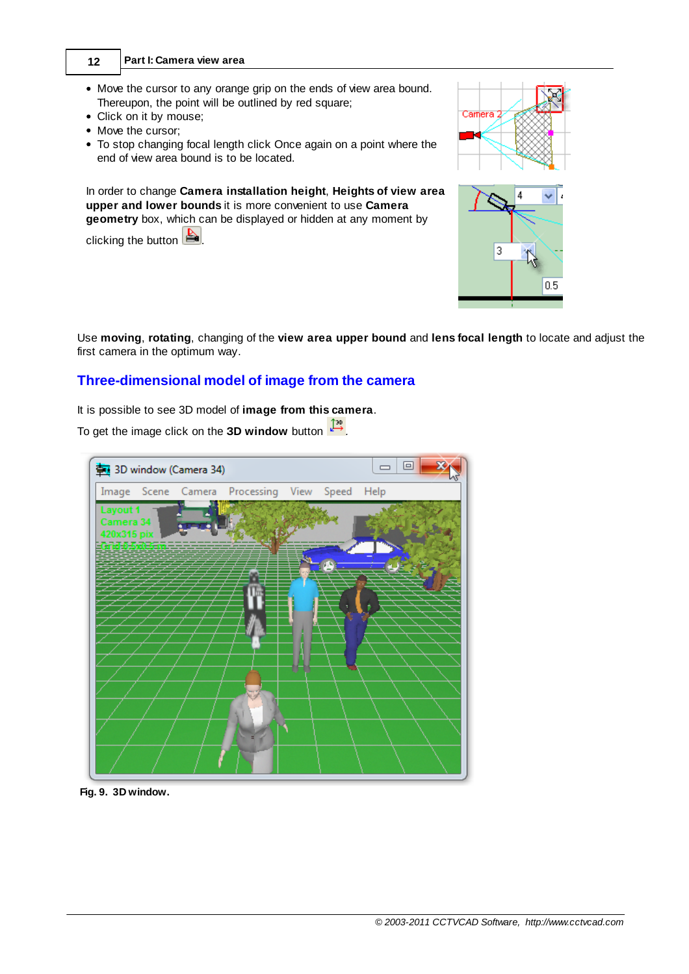- **12 Part I: Camera view area**
- Move the cursor to any orange grip on the ends of view area bound. Thereupon, the point will be outlined by red square;
- Click on it by mouse;
- Move the cursor;
- To stop changing focal length click Once again on a point where the end of view area bound is to be located.

In order to change **Camera installation height**, **Heights of view area upper and lower bounds** it is more convenient to use **Camera geometry** box, which can be displayed or hidden at any moment by

clicking the button  $\mathbf{B}$ 



Use **moving**, **rotating**, changing of the **view area upper bound** and **lens focal length** to locate and adjust the first camera in the optimum way.

# <span id="page-11-0"></span>**Three-dimensional model of image from the camera**

It is possible to see 3D model of **image from this camera**.

To get the image click on the **D window** button *.*



**Fig. 9. 3D window.**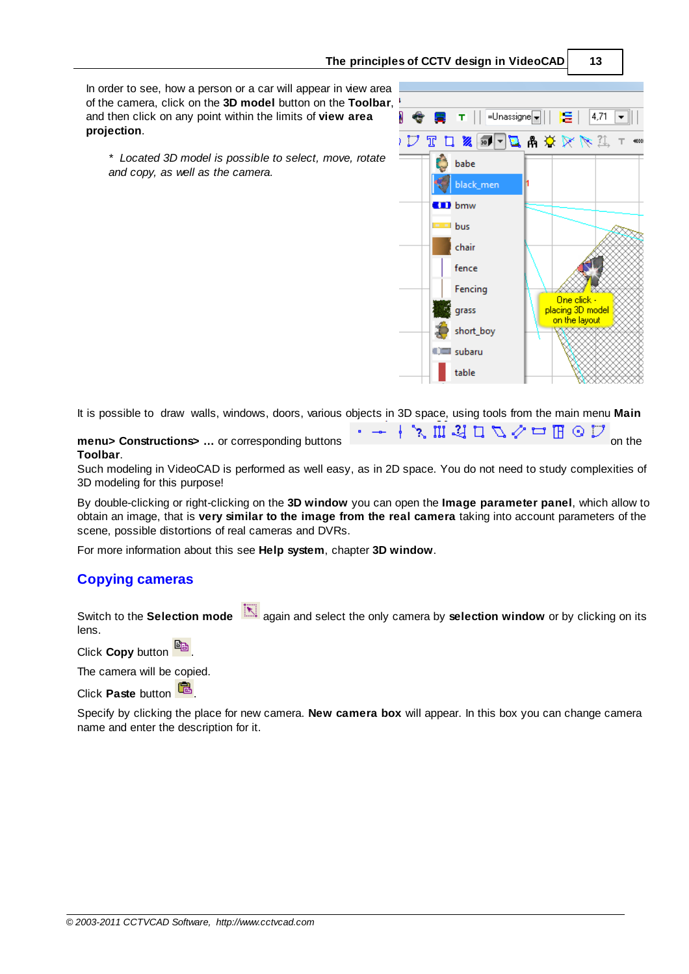#### **The principles of CCTV design in VideoCAD 13**

In order to see, how a person or a car will appear in view area of the camera, click on the **3D model** button on the **Toolbar**, and then click on any point within the limits of **view area projection**.

Ŧ =Unassigne 4.71  $\frac{1}{20}$   $\frac{1}{2}$ А M. 一品( -71 babe black\_men  $\blacksquare$  bmw bus chair fence Fencina One click grass <mark>placing 3D model</mark> on the layout short\_boy **CEI** subaru table

*\* Located 3D model is possible to select, move, rotate and copy, as well as the camera.*

It is possible to draw walls, windows, doors, various objects in 3D space, using tools from the main menu **Main**

**menu> Constructions>** … or corresponding buttons  $\mathbf{r} \rightarrow \mathbf{r} \in \mathbb{R}$  **i**  $\mathbb{Z} \cup \mathbb{Z} \rightarrow \mathbb{Z}$  on the **Toolbar**.

Such modeling in VideoCAD is performed as well easy, as in 2D space. You do not need to study complexities of 3D modeling for this purpose!

By double-clicking or right-clicking on the **3D window** you can open the **Image parameter panel**, which allow to obtain an image, that is **very similar to the image from the real camera** taking into account parameters of the scene, possible distortions of real cameras and DVRs.

For more information about this see **Help system**, chapter **3D window**.

## <span id="page-12-0"></span>**Copying cameras**

Switch to the **Selection mode** again and select the only camera by **selection window** or by clicking on its lens.

Click **Copy** button

The camera will be copied.

**Click Paste button** 

Specify by clicking the place for new camera. **New camera box** will appear. In this box you can change camera name and enter the description for it.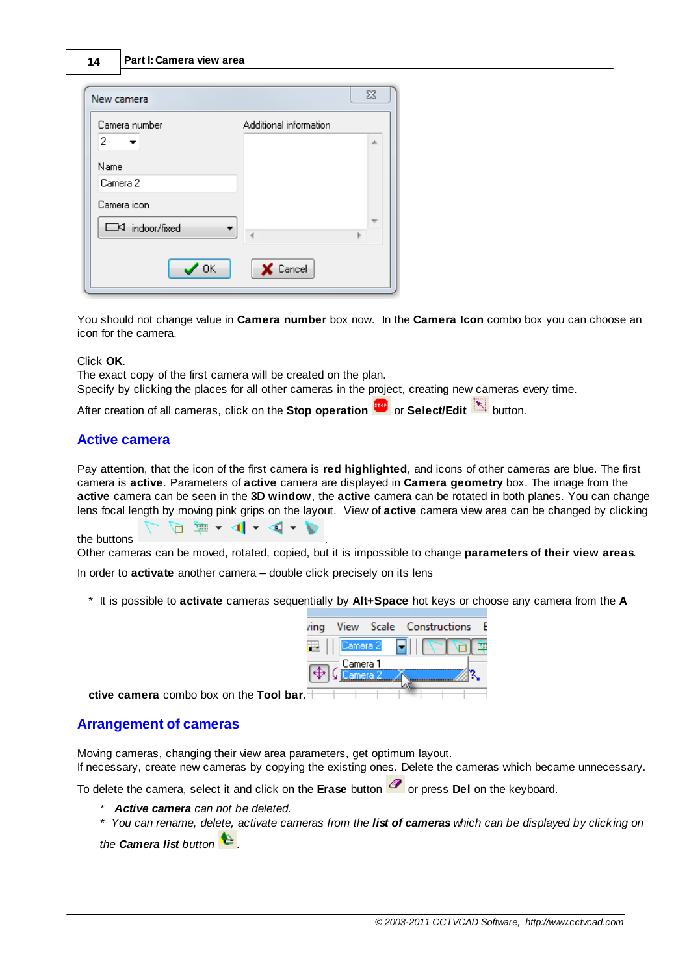| New camera          |                        | $\Sigma$ |
|---------------------|------------------------|----------|
| Camera number<br>2  | Additional information | 止        |
| Name                |                        |          |
| Camera 2            |                        |          |
| Camera icon         |                        |          |
| □<<<br>indoor/fixed |                        |          |
| $\sqrt{a}$          | X Cancel               |          |

You should not change value in **Camera number** box now. In the **Camera Icon** combo box you can choose an icon for the camera.

### Click **OK**.

The exact copy of the first camera will be created on the plan. Specify by clicking the places for all other cameras in the project, creating new cameras every time.

After creation of all cameras, click on the **Stop operation** or **Select/Edit** button.

## <span id="page-13-0"></span>**Active camera**

Pay attention, that the icon of the first camera is **red highlighted**, and icons of other cameras are blue. The first camera is **active**. Parameters of **active** camera are displayed in **Camera geometry** box. The image from the **active** camera can be seen in the **3D window**, the **active** camera can be rotated in both planes. You can change lens focal length by moving pink grips on the layout. View of **active** camera view area can be changed by clicking

the buttons .

 $\Box$  = - 4 - 4 - 5

Other cameras can be moved, rotated, copied, but it is impossible to change **parameters of their view areas**.

In order to **activate** another camera – double click precisely on its lens

\* It is possible to **activate** cameras sequentially by **Alt+Space** hot keys or choose any camera from the **A**



**ctive camera** combo box on the **Tool bar**.

### <span id="page-13-1"></span>**Arrangement of cameras**

Moving cameras, changing their view area parameters, get optimum layout.

If necessary, create new cameras by copying the existing ones. Delete the cameras which became unnecessary.

To delete the camera, select it and click on the **Erase** button *o* or press **Del** on the keyboard.

- *\* Active camera can not be deleted.*
- \* You can rename, delete, activate cameras from the list of cameras which can be displayed by clicking on

*the Camera list button .*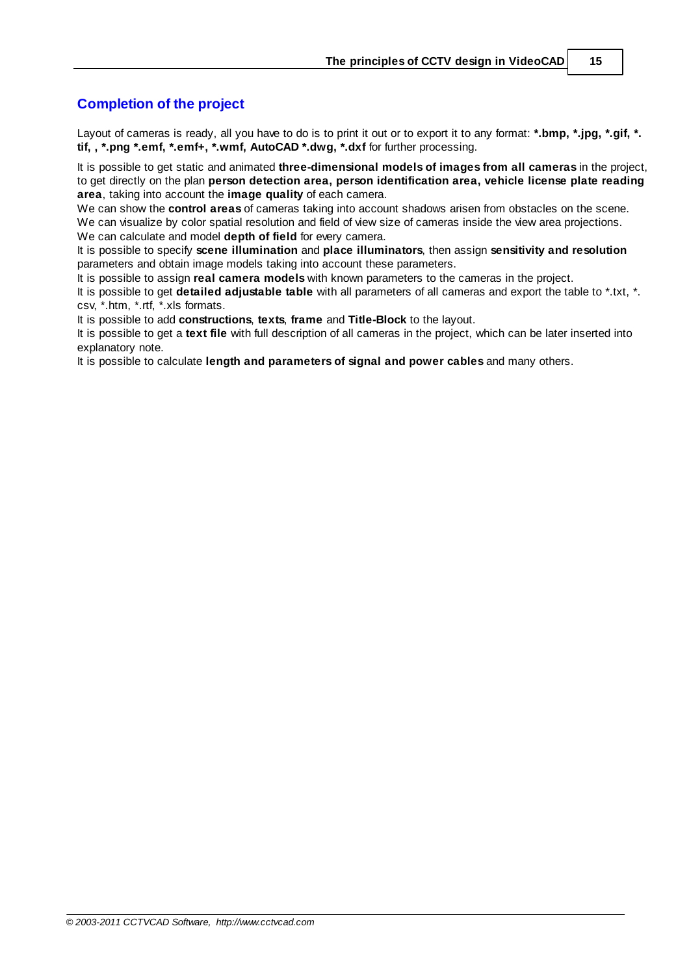## <span id="page-14-0"></span>**Completion of the project**

Layout of cameras is ready, all you have to do is to print it out or to export it to any format: **\*.bmp, \*.jpg, \*.gif, \*. tif, , \*.png \*.emf, \*.emf+, \*.wmf, AutoCAD \*.dwg, \*.dxf** for further processing.

It is possible to get static and animated **three-dimensional models of images from all cameras** in the project, to get directly on the plan **person detection area, person identification area, vehicle license plate reading area**, taking into account the **image quality** of each camera.

We can show the **control areas** of cameras taking into account shadows arisen from obstacles on the scene. We can visualize by color spatial resolution and field of view size of cameras inside the view area projections. We can calculate and model **depth of field** for every camera.

It is possible to specify **scene illumination** and **place illuminators**, then assign **sensitivity and resolution** parameters and obtain image models taking into account these parameters.

It is possible to assign **real camera models** with known parameters to the cameras in the project.

It is possible to get **detailed adjustable table** with all parameters of all cameras and export the table to \*.txt, \*. csv, \*.htm, \*.rtf, \*.xls formats.

It is possible to add **constructions**, **texts**, **frame** and **Title-Block** to the layout.

It is possible to get a **text file** with full description of all cameras in the project, which can be later inserted into explanatory note.

It is possible to calculate **length and parameters of signal and power cables** and many others.